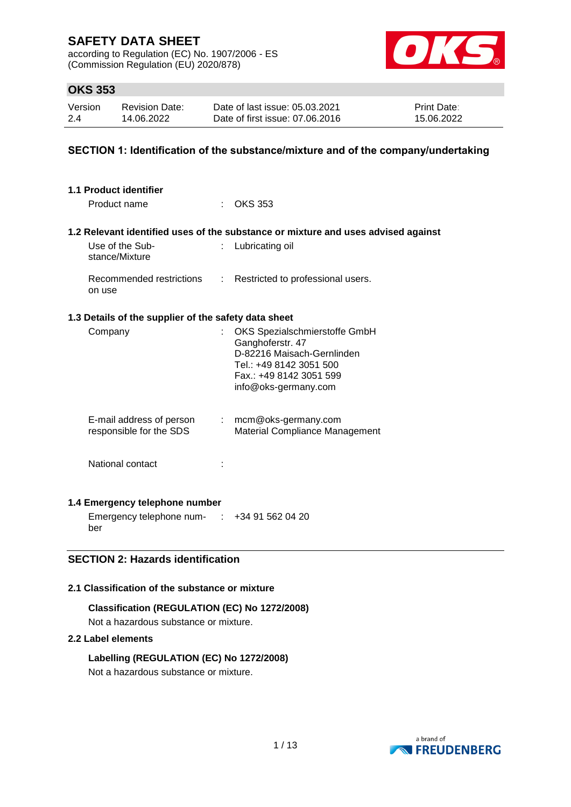according to Regulation (EC) No. 1907/2006 - ES (Commission Regulation (EU) 2020/878)



# **OKS 353**

| Version | <b>Revision Date:</b> | Date of last issue: 05.03.2021  | <b>Print Date:</b> |
|---------|-----------------------|---------------------------------|--------------------|
| 2.4     | 14.06.2022            | Date of first issue: 07.06.2016 | 15.06.2022         |

### **SECTION 1: Identification of the substance/mixture and of the company/undertaking**

| 1.1 Product identifier<br>Product name               |                | $\therefore$ OKS 353                                                                                                                                          |
|------------------------------------------------------|----------------|---------------------------------------------------------------------------------------------------------------------------------------------------------------|
|                                                      |                | 1.2 Relevant identified uses of the substance or mixture and uses advised against                                                                             |
| Use of the Sub-<br>stance/Mixture                    | t.             | Lubricating oil                                                                                                                                               |
| Recommended restrictions<br>on use                   | $\mathbb{R}^n$ | Restricted to professional users.                                                                                                                             |
| 1.3 Details of the supplier of the safety data sheet |                |                                                                                                                                                               |
| Company                                              | ÷              | OKS Spezialschmierstoffe GmbH<br>Ganghoferstr. 47<br>D-82216 Maisach-Gernlinden<br>Tel.: +49 8142 3051 500<br>Fax.: +49 8142 3051 599<br>info@oks-germany.com |
| E-mail address of person<br>responsible for the SDS  |                | $:$ mcm@oks-germany.com<br>Material Compliance Management                                                                                                     |
| National contact                                     |                |                                                                                                                                                               |
| 1.4 Emergency telephone number                       |                |                                                                                                                                                               |
| متنصب المتمرين ماستمل المقتلية متستميمية             |                |                                                                                                                                                               |

Emergency telephone num- : +34 91 562 04 20 ber

### **SECTION 2: Hazards identification**

### **2.1 Classification of the substance or mixture**

**Classification (REGULATION (EC) No 1272/2008)** Not a hazardous substance or mixture.

#### **2.2 Label elements**

**Labelling (REGULATION (EC) No 1272/2008)** Not a hazardous substance or mixture.

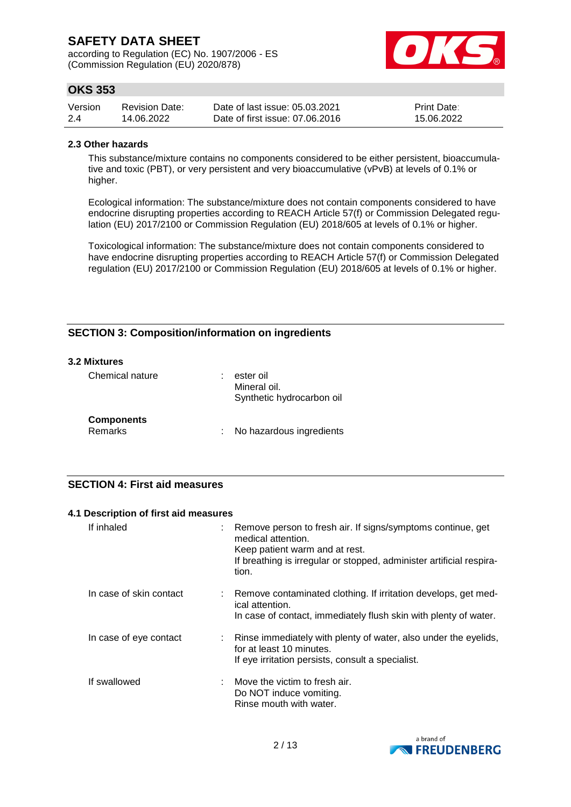according to Regulation (EC) No. 1907/2006 - ES (Commission Regulation (EU) 2020/878)



# **OKS 353**

| Version | Revision Date: | Date of last issue: 05.03.2021  | <b>Print Date:</b> |
|---------|----------------|---------------------------------|--------------------|
| 2.4     | 14.06.2022     | Date of first issue: 07.06.2016 | 15.06.2022         |

#### **2.3 Other hazards**

This substance/mixture contains no components considered to be either persistent, bioaccumulative and toxic (PBT), or very persistent and very bioaccumulative (vPvB) at levels of 0.1% or higher.

Ecological information: The substance/mixture does not contain components considered to have endocrine disrupting properties according to REACH Article 57(f) or Commission Delegated regulation (EU) 2017/2100 or Commission Regulation (EU) 2018/605 at levels of 0.1% or higher.

Toxicological information: The substance/mixture does not contain components considered to have endocrine disrupting properties according to REACH Article 57(f) or Commission Delegated regulation (EU) 2017/2100 or Commission Regulation (EU) 2018/605 at levels of 0.1% or higher.

### **SECTION 3: Composition/information on ingredients**

#### **3.2 Mixtures**

| Chemical nature                     | ٠ | ester oil<br>Mineral oil.<br>Synthetic hydrocarbon oil |
|-------------------------------------|---|--------------------------------------------------------|
| <b>Components</b><br><b>Remarks</b> |   | No hazardous ingredients                               |

#### **SECTION 4: First aid measures**

#### **4.1 Description of first aid measures**

| If inhaled              | Remove person to fresh air. If signs/symptoms continue, get<br>medical attention.<br>Keep patient warm and at rest.<br>If breathing is irregular or stopped, administer artificial respira-<br>tion. |
|-------------------------|------------------------------------------------------------------------------------------------------------------------------------------------------------------------------------------------------|
| In case of skin contact | : Remove contaminated clothing. If irritation develops, get med-<br>ical attention.<br>In case of contact, immediately flush skin with plenty of water.                                              |
| In case of eye contact  | : Rinse immediately with plenty of water, also under the eyelids,<br>for at least 10 minutes.<br>If eye irritation persists, consult a specialist.                                                   |
| If swallowed            | $\therefore$ Move the victim to fresh air.<br>Do NOT induce vomiting.<br>Rinse mouth with water.                                                                                                     |

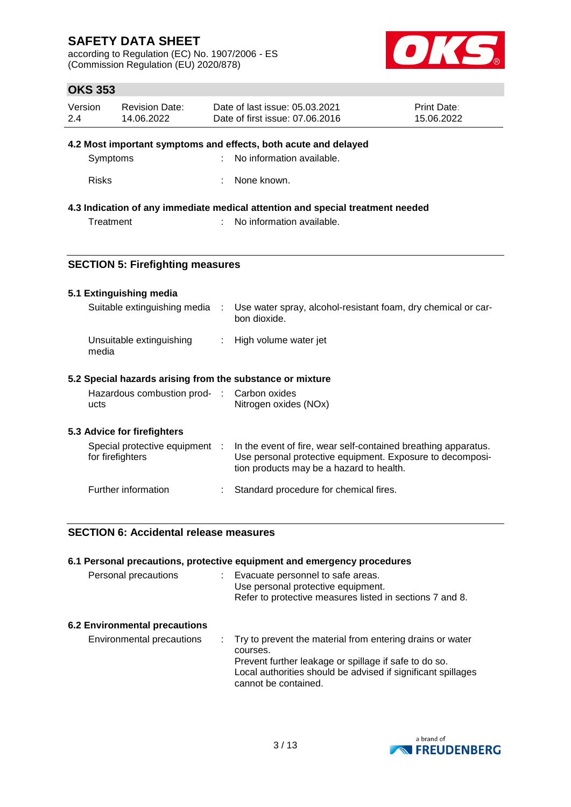according to Regulation (EC) No. 1907/2006 - ES (Commission Regulation (EU) 2020/878)



# **OKS 353**

| Version | <b>Revision Date:</b> | Date of last issue: 05.03.2021  | <b>Print Date:</b> |
|---------|-----------------------|---------------------------------|--------------------|
| 2.4     | 14.06.2022            | Date of first issue: 07.06.2016 | 15.06.2022         |

#### **4.2 Most important symptoms and effects, both acute and delayed**

| Symptoms | : No information available. |
|----------|-----------------------------|
|          |                             |

Risks : None known.

### **4.3 Indication of any immediate medical attention and special treatment needed**

Treatment : No information available.

### **SECTION 5: Firefighting measures**

#### **5.1 Extinguishing media**

| Suitable extinguishing media                                                                            | $\sim 100$ | Use water spray, alcohol-resistant foam, dry chemical or car-<br>bon dioxide. |
|---------------------------------------------------------------------------------------------------------|------------|-------------------------------------------------------------------------------|
| Unsuitable extinguishing<br>media                                                                       |            | : High volume water jet                                                       |
| 5.2 Special hazards arising from the substance or mixture<br>Hazardous combustion prod- : Carbon oxides |            |                                                                               |

#### Hazardous combustion products : Carbon oxides Nitrogen oxides (NOx)

#### **5.3 Advice for firefighters**

| Special protective equipment<br>for firefighters | In the event of fire, wear self-contained breathing apparatus.<br>Use personal protective equipment. Exposure to decomposi-<br>tion products may be a hazard to health. |
|--------------------------------------------------|-------------------------------------------------------------------------------------------------------------------------------------------------------------------------|
| Further information                              | : Standard procedure for chemical fires.                                                                                                                                |

### **SECTION 6: Accidental release measures**

|                                      | 6.1 Personal precautions, protective equipment and emergency procedures                                                                                                                                                  |
|--------------------------------------|--------------------------------------------------------------------------------------------------------------------------------------------------------------------------------------------------------------------------|
| Personal precautions                 | Evacuate personnel to safe areas.<br>Use personal protective equipment.<br>Refer to protective measures listed in sections 7 and 8.                                                                                      |
| <b>6.2 Environmental precautions</b> |                                                                                                                                                                                                                          |
| Environmental precautions            | : Try to prevent the material from entering drains or water<br>courses.<br>Prevent further leakage or spillage if safe to do so.<br>Local authorities should be advised if significant spillages<br>cannot be contained. |

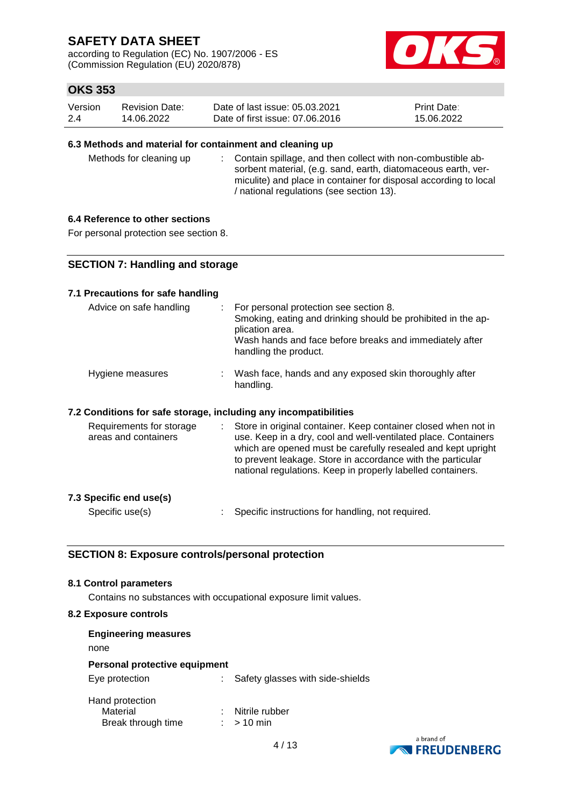according to Regulation (EC) No. 1907/2006 - ES (Commission Regulation (EU) 2020/878)



# **OKS 353**

| Version | <b>Revision Date:</b> | Date of last issue: 05.03.2021  | <b>Print Date:</b> |
|---------|-----------------------|---------------------------------|--------------------|
| 2.4     | 14.06.2022            | Date of first issue: 07,06,2016 | 15.06.2022         |

#### **6.3 Methods and material for containment and cleaning up**

Methods for cleaning up : Contain spillage, and then collect with non-combustible absorbent material, (e.g. sand, earth, diatomaceous earth, vermiculite) and place in container for disposal according to local / national regulations (see section 13).

#### **6.4 Reference to other sections**

For personal protection see section 8.

### **SECTION 7: Handling and storage**

#### **7.1 Precautions for safe handling**

| Advice on safe handling                                          | For personal protection see section 8.<br>Smoking, eating and drinking should be prohibited in the ap-<br>plication area.<br>Wash hands and face before breaks and immediately after<br>handling the product.                                                                                                                  |
|------------------------------------------------------------------|--------------------------------------------------------------------------------------------------------------------------------------------------------------------------------------------------------------------------------------------------------------------------------------------------------------------------------|
| Hygiene measures                                                 | : Wash face, hands and any exposed skin thoroughly after<br>handling.                                                                                                                                                                                                                                                          |
| 7.2 Conditions for safe storage, including any incompatibilities |                                                                                                                                                                                                                                                                                                                                |
| Requirements for storage<br>areas and containers                 | Store in original container. Keep container closed when not in<br>use. Keep in a dry, cool and well-ventilated place. Containers<br>which are opened must be carefully resealed and kept upright<br>to prevent leakage. Store in accordance with the particular<br>national regulations. Keep in properly labelled containers. |

#### **7.3 Specific end use(s)**

Specific use(s) : Specific instructions for handling, not required.

#### **SECTION 8: Exposure controls/personal protection**

#### **8.1 Control parameters**

Contains no substances with occupational exposure limit values.

#### **8.2 Exposure controls**

| <b>Engineering measures</b>                       |                                  |
|---------------------------------------------------|----------------------------------|
| none                                              |                                  |
| Personal protective equipment                     |                                  |
| Eye protection                                    | Safety glasses with side-shields |
| Hand protection<br>Material<br>Break through time | Nitrile rubber<br>$>10$ min      |



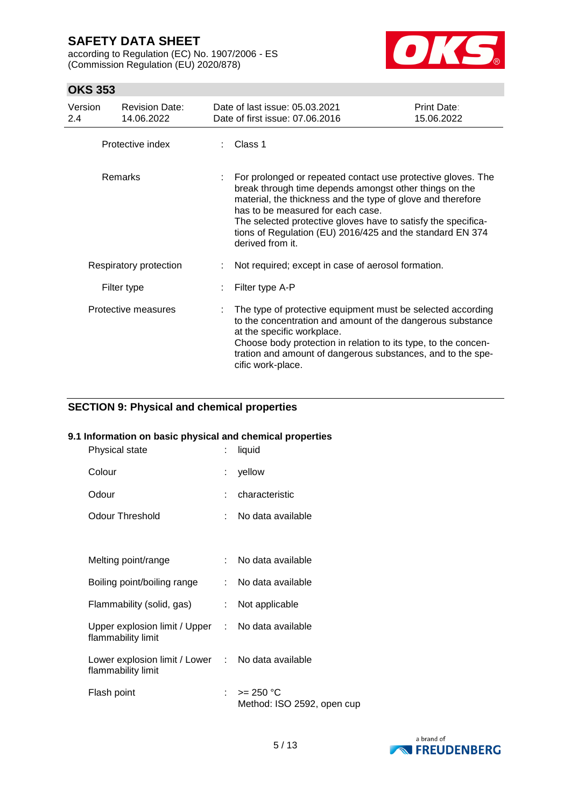according to Regulation (EC) No. 1907/2006 - ES (Commission Regulation (EU) 2020/878)



# **OKS 353**

| Version<br>2.4 | <b>Revision Date:</b><br>14.06.2022 | Date of last issue: 05.03.2021<br>Date of first issue: 07.06.2016                                                                                                                                                                                                                                                                                                            | <b>Print Date:</b><br>15.06.2022 |
|----------------|-------------------------------------|------------------------------------------------------------------------------------------------------------------------------------------------------------------------------------------------------------------------------------------------------------------------------------------------------------------------------------------------------------------------------|----------------------------------|
|                | Protective index                    | $\therefore$ Class 1                                                                                                                                                                                                                                                                                                                                                         |                                  |
|                | Remarks                             | For prolonged or repeated contact use protective gloves. The<br>break through time depends amongst other things on the<br>material, the thickness and the type of glove and therefore<br>has to be measured for each case.<br>The selected protective gloves have to satisfy the specifica-<br>tions of Regulation (EU) 2016/425 and the standard EN 374<br>derived from it. |                                  |
|                | Respiratory protection              | Not required; except in case of aerosol formation.                                                                                                                                                                                                                                                                                                                           |                                  |
|                | Filter type                         | Filter type A-P                                                                                                                                                                                                                                                                                                                                                              |                                  |
|                | Protective measures                 | The type of protective equipment must be selected according<br>to the concentration and amount of the dangerous substance<br>at the specific workplace.<br>Choose body protection in relation to its type, to the concen-<br>tration and amount of dangerous substances, and to the spe-<br>cific work-place.                                                                |                                  |

# **SECTION 9: Physical and chemical properties**

### **9.1 Information on basic physical and chemical properties**

| Physical state                                                          | ÷  | liquid                                    |
|-------------------------------------------------------------------------|----|-------------------------------------------|
| Colour                                                                  | t. | yellow                                    |
| Odour                                                                   |    | characteristic                            |
| Odour Threshold                                                         | t. | No data available                         |
|                                                                         |    |                                           |
| Melting point/range                                                     | t. | No data available                         |
| Boiling point/boiling range                                             |    | : No data available                       |
| Flammability (solid, gas)                                               | t. | Not applicable                            |
| Upper explosion limit / Upper :<br>flammability limit                   |    | No data available                         |
| Lower explosion limit / Lower : No data available<br>flammability limit |    |                                           |
| Flash point                                                             | t. | $>= 250 °C$<br>Method: ISO 2592, open cup |

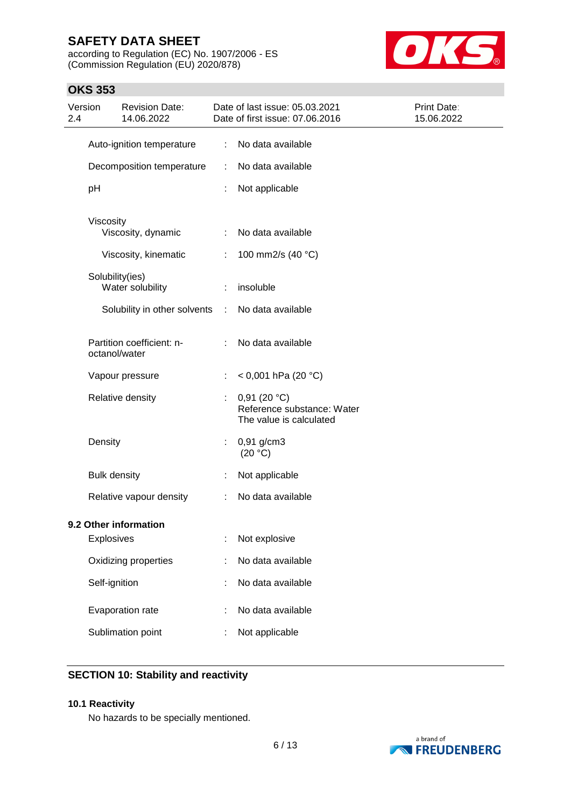according to Regulation (EC) No. 1907/2006 - ES (Commission Regulation (EU) 2020/878)



### **OKS 353**

| Version<br>2.4 | <b>Revision Date:</b><br>14.06.2022        |               | Date of last issue: 05.03.2021<br>Date of first issue: 07.06.2016    | Print Date:<br>15.06.2022 |
|----------------|--------------------------------------------|---------------|----------------------------------------------------------------------|---------------------------|
|                | Auto-ignition temperature                  | ÷             | No data available                                                    |                           |
|                | Decomposition temperature                  | ÷             | No data available                                                    |                           |
|                | pH                                         | ÷             | Not applicable                                                       |                           |
|                | Viscosity<br>Viscosity, dynamic            | ÷             | No data available                                                    |                           |
|                | Viscosity, kinematic                       | ÷             | 100 mm2/s (40 °C)                                                    |                           |
|                | Solubility(ies)<br>Water solubility        | ÷             | insoluble                                                            |                           |
|                | Solubility in other solvents               | $\mathcal{I}$ | No data available                                                    |                           |
|                | Partition coefficient: n-<br>octanol/water | ÷             | No data available                                                    |                           |
|                | Vapour pressure                            |               | < 0,001 hPa (20 °C)                                                  |                           |
|                | Relative density                           | t,            | 0,91(20 °C)<br>Reference substance: Water<br>The value is calculated |                           |
|                | Density                                    | t,            | $0,91$ g/cm3<br>(20 °C)                                              |                           |
|                | <b>Bulk density</b>                        | ÷             | Not applicable                                                       |                           |
|                | Relative vapour density                    |               | No data available                                                    |                           |
|                | 9.2 Other information<br>Explosives        |               | Not explosive                                                        |                           |
|                | Oxidizing properties                       |               | No data available                                                    |                           |
|                | Self-ignition                              |               | No data available                                                    |                           |
|                | Evaporation rate                           |               | No data available                                                    |                           |
|                | Sublimation point                          |               | Not applicable                                                       |                           |

# **SECTION 10: Stability and reactivity**

#### **10.1 Reactivity**

No hazards to be specially mentioned.

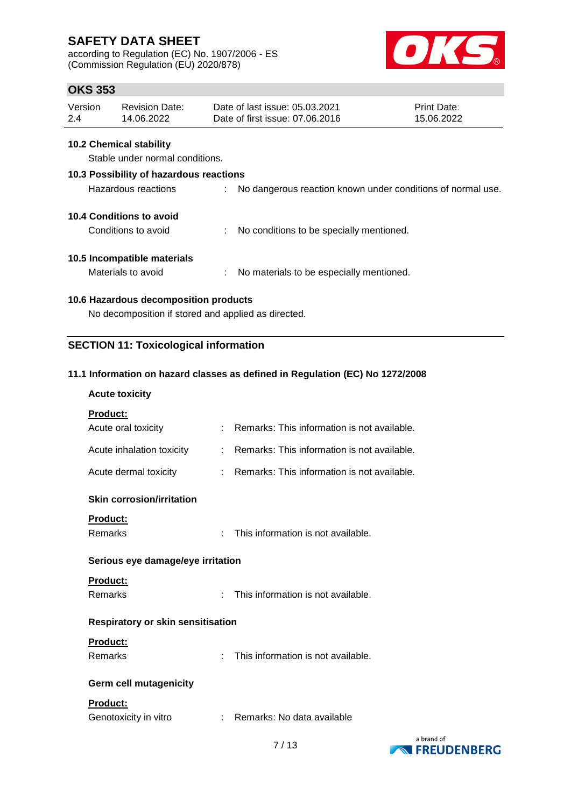according to Regulation (EC) No. 1907/2006 - ES (Commission Regulation (EU) 2020/878)



# **OKS 353**

| Version | <b>Revision Date:</b> | Date of last issue: 05.03.2021  | <b>Print Date:</b> |
|---------|-----------------------|---------------------------------|--------------------|
| 2.4     | 14.06.2022            | Date of first issue: 07,06,2016 | 15.06.2022         |

#### **10.2 Chemical stability**

Stable under normal conditions.

# **10.3 Possibility of hazardous reactions** Hazardous reactions : No dangerous reaction known under conditions of normal use. **10.4 Conditions to avoid** Conditions to avoid : No conditions to be specially mentioned. **10.5 Incompatible materials** Materials to avoid : No materials to be especially mentioned.

### **10.6 Hazardous decomposition products**

No decomposition if stored and applied as directed.

### **SECTION 11: Toxicological information**

#### **11.1 Information on hazard classes as defined in Regulation (EC) No 1272/2008**

#### **Acute toxicity**

| Product:                                 |    |                                             |  |
|------------------------------------------|----|---------------------------------------------|--|
| Acute oral toxicity                      | ÷. | Remarks: This information is not available. |  |
| Acute inhalation toxicity                | ÷. | Remarks: This information is not available. |  |
| Acute dermal toxicity                    | t. | Remarks: This information is not available. |  |
| <b>Skin corrosion/irritation</b>         |    |                                             |  |
| <b>Product:</b>                          |    |                                             |  |
| Remarks<br>÷                             |    | This information is not available.          |  |
| Serious eye damage/eye irritation        |    |                                             |  |
| Product:                                 |    |                                             |  |
| Remarks<br>÷                             |    | This information is not available.          |  |
| <b>Respiratory or skin sensitisation</b> |    |                                             |  |
| Product:                                 |    |                                             |  |
| Remarks<br>÷                             |    | This information is not available.          |  |
| <b>Germ cell mutagenicity</b>            |    |                                             |  |
| Product:                                 |    |                                             |  |
| Genotoxicity in vitro                    |    | Remarks: No data available                  |  |

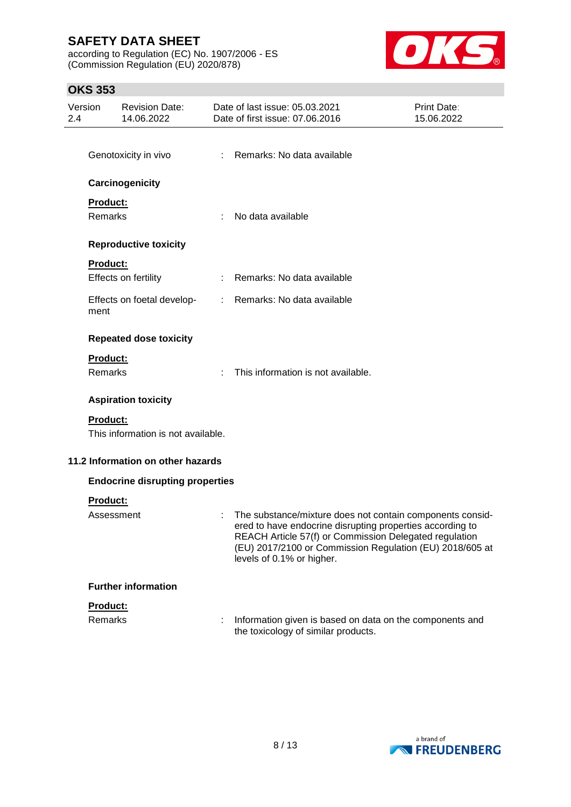according to Regulation (EC) No. 1907/2006 - ES (Commission Regulation (EU) 2020/878)



# **OKS 353**

| Version<br>2.4 |                 | <b>Revision Date:</b><br>14.06.2022    |               | Date of last issue: 05.03.2021<br>Date of first issue: 07.06.2016                                                                                                                                                                                                         | <b>Print Date:</b><br>15.06.2022 |
|----------------|-----------------|----------------------------------------|---------------|---------------------------------------------------------------------------------------------------------------------------------------------------------------------------------------------------------------------------------------------------------------------------|----------------------------------|
|                |                 | Genotoxicity in vivo                   | ÷             | Remarks: No data available                                                                                                                                                                                                                                                |                                  |
|                |                 | Carcinogenicity                        |               |                                                                                                                                                                                                                                                                           |                                  |
|                | <b>Product:</b> |                                        |               |                                                                                                                                                                                                                                                                           |                                  |
|                | Remarks         |                                        |               | No data available                                                                                                                                                                                                                                                         |                                  |
|                |                 | <b>Reproductive toxicity</b>           |               |                                                                                                                                                                                                                                                                           |                                  |
|                | Product:        |                                        |               |                                                                                                                                                                                                                                                                           |                                  |
|                |                 | Effects on fertility                   | t.            | Remarks: No data available                                                                                                                                                                                                                                                |                                  |
|                | ment            | Effects on foetal develop-             | $\mathcal{L}$ | Remarks: No data available                                                                                                                                                                                                                                                |                                  |
|                |                 | <b>Repeated dose toxicity</b>          |               |                                                                                                                                                                                                                                                                           |                                  |
|                | Product:        |                                        |               |                                                                                                                                                                                                                                                                           |                                  |
|                | Remarks         |                                        |               | This information is not available.                                                                                                                                                                                                                                        |                                  |
|                |                 | <b>Aspiration toxicity</b>             |               |                                                                                                                                                                                                                                                                           |                                  |
|                | <b>Product:</b> | This information is not available.     |               |                                                                                                                                                                                                                                                                           |                                  |
|                |                 | 11.2 Information on other hazards      |               |                                                                                                                                                                                                                                                                           |                                  |
|                |                 | <b>Endocrine disrupting properties</b> |               |                                                                                                                                                                                                                                                                           |                                  |
|                | Product:        |                                        |               |                                                                                                                                                                                                                                                                           |                                  |
|                | Assessment      |                                        |               | The substance/mixture does not contain components consid-<br>ered to have endocrine disrupting properties according to<br>REACH Article 57(f) or Commission Delegated regulation<br>(EU) 2017/2100 or Commission Regulation (EU) 2018/605 at<br>levels of 0.1% or higher. |                                  |
|                |                 | <b>Further information</b>             |               |                                                                                                                                                                                                                                                                           |                                  |
|                | Product:        |                                        |               |                                                                                                                                                                                                                                                                           |                                  |
|                | <b>Remarks</b>  |                                        |               | Information given is based on data on the components and<br>the toxicology of similar products.                                                                                                                                                                           |                                  |

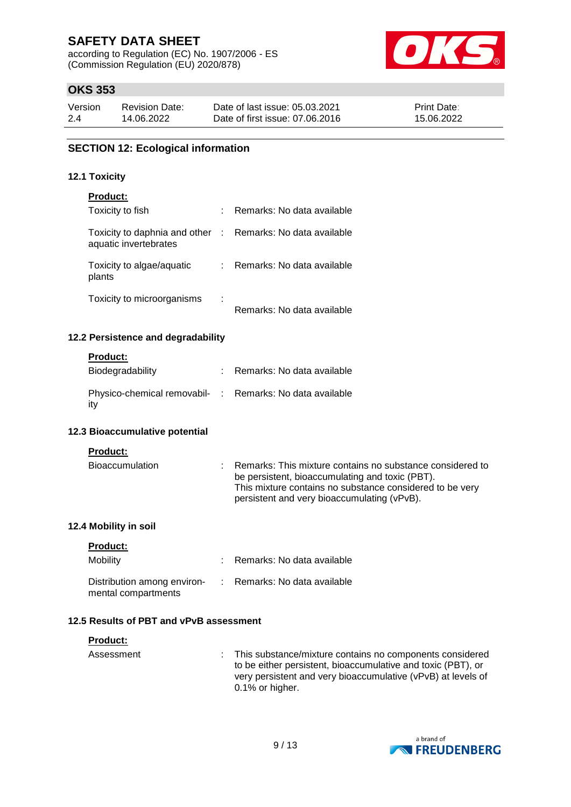according to Regulation (EC) No. 1907/2006 - ES (Commission Regulation (EU) 2020/878)



# **OKS 353**

| Version | <b>Revision Date:</b> | Date of last issue: 05.03.2021  | <b>Print Date:</b> |
|---------|-----------------------|---------------------------------|--------------------|
| 2.4     | 14.06.2022            | Date of first issue: 07.06.2016 | 15.06.2022         |

#### **SECTION 12: Ecological information**

#### **12.1 Toxicity**

| <b>Product:</b>                                                                     |   |                              |
|-------------------------------------------------------------------------------------|---|------------------------------|
| Toxicity to fish                                                                    | t | Remarks: No data available   |
| Toxicity to daphnia and other : Remarks: No data available<br>aquatic invertebrates |   |                              |
| Toxicity to algae/aquatic<br>plants                                                 |   | : Remarks: No data available |
| Toxicity to microorganisms                                                          | ÷ | Remarks: No data available   |

#### **12.2 Persistence and degradability**

#### **Product:**

| Biodegradability                                                 | Remarks: No data available |
|------------------------------------------------------------------|----------------------------|
| Physico-chemical removabil- : Remarks: No data available<br>-itv |                            |

#### **12.3 Bioaccumulative potential**

#### **Product:**

| Bioaccumulation | : Remarks: This mixture contains no substance considered to |
|-----------------|-------------------------------------------------------------|
|                 | be persistent, bioaccumulating and toxic (PBT).             |
|                 | This mixture contains no substance considered to be very    |
|                 | persistent and very bioaccumulating (vPvB).                 |

#### **12.4 Mobility in soil**

| <b>Product:</b> |  |
|-----------------|--|
|                 |  |

| <b>Mobility</b>                                                                 | Remarks: No data available |
|---------------------------------------------------------------------------------|----------------------------|
| Distribution among environ- : Remarks: No data available<br>mental compartments |                            |

#### **12.5 Results of PBT and vPvB assessment**

| <b>Product:</b> |                                                                                                                                                                                                                  |
|-----------------|------------------------------------------------------------------------------------------------------------------------------------------------------------------------------------------------------------------|
| Assessment      | : This substance/mixture contains no components considered<br>to be either persistent, bioaccumulative and toxic (PBT), or<br>very persistent and very bioaccumulative (vPvB) at levels of<br>$0.1\%$ or higher. |

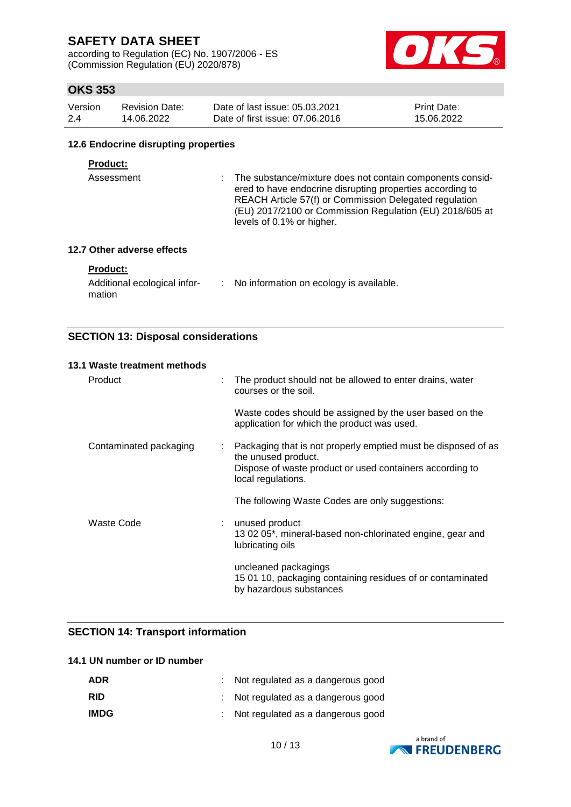according to Regulation (EC) No. 1907/2006 - ES (Commission Regulation (EU) 2020/878)



# **OKS 353**

| Version | <b>Revision Date:</b> | Date of last issue: 05.03.2021  | <b>Print Date:</b> |
|---------|-----------------------|---------------------------------|--------------------|
| 2.4     | 14.06.2022            | Date of first issue: 07,06,2016 | 15.06.2022         |

#### **12.6 Endocrine disrupting properties**

#### **Product:**

Assessment : The substance/mixture does not contain components considered to have endocrine disrupting properties according to REACH Article 57(f) or Commission Delegated regulation (EU) 2017/2100 or Commission Regulation (EU) 2018/605 at levels of 0.1% or higher.

#### **12.7 Other adverse effects**

#### **Product:**

| Additional ecological infor- | No information on ecology is available. |
|------------------------------|-----------------------------------------|
| mation                       |                                         |

### **SECTION 13: Disposal considerations**

| 13.1 Waste treatment methods |                                                                                                                                                                             |
|------------------------------|-----------------------------------------------------------------------------------------------------------------------------------------------------------------------------|
| Product                      | The product should not be allowed to enter drains, water<br>÷<br>courses or the soil.                                                                                       |
|                              | Waste codes should be assigned by the user based on the<br>application for which the product was used.                                                                      |
| Contaminated packaging       | Packaging that is not properly emptied must be disposed of as<br>t<br>the unused product.<br>Dispose of waste product or used containers according to<br>local regulations. |
|                              | The following Waste Codes are only suggestions:                                                                                                                             |
| Waste Code                   | unused product<br>13 02 05*, mineral-based non-chlorinated engine, gear and<br>lubricating oils                                                                             |
|                              | uncleaned packagings<br>15 01 10, packaging containing residues of or contaminated<br>by hazardous substances                                                               |

#### **SECTION 14: Transport information**

#### **14.1 UN number or ID number**

| <b>ADR</b>  | : Not regulated as a dangerous good |
|-------------|-------------------------------------|
| <b>RID</b>  | : Not regulated as a dangerous good |
| <b>IMDG</b> | : Not regulated as a dangerous good |

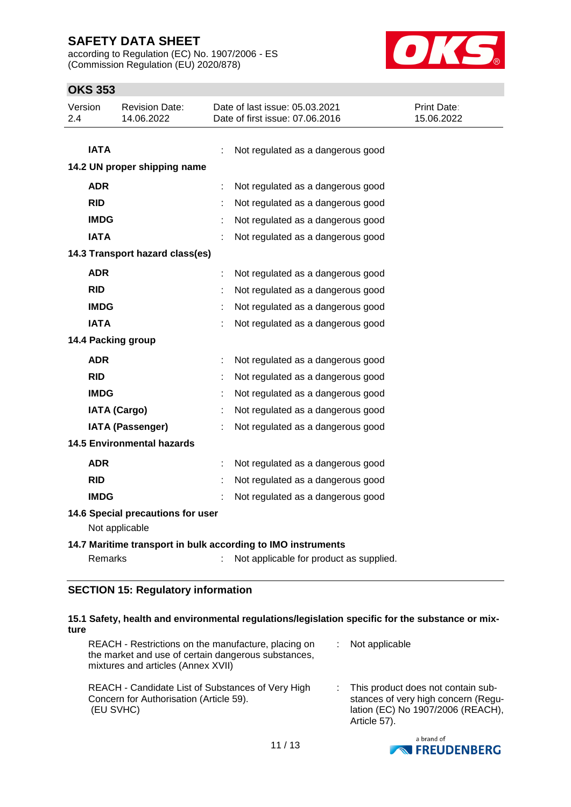according to Regulation (EC) No. 1907/2006 - ES (Commission Regulation (EU) 2020/878)



# **OKS 353**

| Version<br>2.4     | <b>Revision Date:</b><br>14.06.2022                 |   | Date of last issue: 05.03.2021<br>Date of first issue: 07.06.2016 | <b>Print Date:</b><br>15.06.2022 |  |  |  |
|--------------------|-----------------------------------------------------|---|-------------------------------------------------------------------|----------------------------------|--|--|--|
| <b>IATA</b>        |                                                     |   | Not regulated as a dangerous good                                 |                                  |  |  |  |
|                    | 14.2 UN proper shipping name                        |   |                                                                   |                                  |  |  |  |
| <b>ADR</b>         |                                                     | ÷ | Not regulated as a dangerous good                                 |                                  |  |  |  |
| <b>RID</b>         |                                                     |   | Not regulated as a dangerous good                                 |                                  |  |  |  |
| <b>IMDG</b>        |                                                     |   | Not regulated as a dangerous good                                 |                                  |  |  |  |
| <b>IATA</b>        |                                                     |   | Not regulated as a dangerous good                                 |                                  |  |  |  |
|                    | 14.3 Transport hazard class(es)                     |   |                                                                   |                                  |  |  |  |
| <b>ADR</b>         |                                                     | ÷ | Not regulated as a dangerous good                                 |                                  |  |  |  |
| <b>RID</b>         |                                                     | ÷ | Not regulated as a dangerous good                                 |                                  |  |  |  |
| <b>IMDG</b>        |                                                     | ÷ | Not regulated as a dangerous good                                 |                                  |  |  |  |
| <b>IATA</b>        |                                                     |   | Not regulated as a dangerous good                                 |                                  |  |  |  |
| 14.4 Packing group |                                                     |   |                                                                   |                                  |  |  |  |
| <b>ADR</b>         |                                                     | ÷ | Not regulated as a dangerous good                                 |                                  |  |  |  |
| <b>RID</b>         |                                                     | ÷ | Not regulated as a dangerous good                                 |                                  |  |  |  |
| <b>IMDG</b>        |                                                     | ÷ | Not regulated as a dangerous good                                 |                                  |  |  |  |
|                    | <b>IATA (Cargo)</b>                                 | ÷ | Not regulated as a dangerous good                                 |                                  |  |  |  |
|                    | <b>IATA (Passenger)</b>                             |   | Not regulated as a dangerous good                                 |                                  |  |  |  |
|                    | <b>14.5 Environmental hazards</b>                   |   |                                                                   |                                  |  |  |  |
| <b>ADR</b>         |                                                     |   | Not regulated as a dangerous good                                 |                                  |  |  |  |
| <b>RID</b>         |                                                     |   | Not regulated as a dangerous good                                 |                                  |  |  |  |
| <b>IMDG</b>        |                                                     |   | Not regulated as a dangerous good                                 |                                  |  |  |  |
|                    | 14.6 Special precautions for user<br>Not applicable |   |                                                                   |                                  |  |  |  |
|                    |                                                     |   | 14.7 Maritime transport in bulk according to IMO instruments      |                                  |  |  |  |
| Remarks            |                                                     |   | Not applicable for product as supplied.                           |                                  |  |  |  |
|                    |                                                     |   |                                                                   |                                  |  |  |  |

#### **SECTION 15: Regulatory information**

#### **15.1 Safety, health and environmental regulations/legislation specific for the substance or mixture**

| REACH - Restrictions on the manufacture, placing on<br>the market and use of certain dangerous substances,<br>mixtures and articles (Annex XVII) | Not applicable                                                                                                                   |
|--------------------------------------------------------------------------------------------------------------------------------------------------|----------------------------------------------------------------------------------------------------------------------------------|
| REACH - Candidate List of Substances of Very High<br>Concern for Authorisation (Article 59).<br>(EU SVHC)                                        | : This product does not contain sub-<br>stances of very high concern (Regu-<br>lation (EC) No 1907/2006 (REACH),<br>Article 57). |

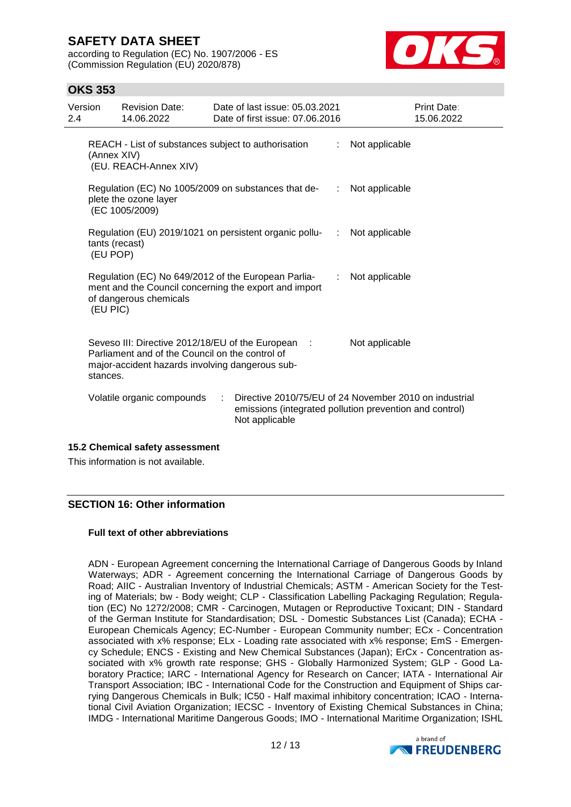according to Regulation (EC) No. 1907/2006 - ES (Commission Regulation (EU) 2020/878)



### **OKS 353**

| Version<br>2.4 |                                                                                                                                                                                        | <b>Revision Date:</b><br>14.06.2022                 |   | Date of last issue: 05.03.2021<br>Date of first issue: 07.06.2016                                            |                              | <b>Print Date:</b><br>15.06.2022                                                                                  |  |
|----------------|----------------------------------------------------------------------------------------------------------------------------------------------------------------------------------------|-----------------------------------------------------|---|--------------------------------------------------------------------------------------------------------------|------------------------------|-------------------------------------------------------------------------------------------------------------------|--|
|                | (Annex XIV)                                                                                                                                                                            | (EU. REACH-Annex XIV)                               |   | REACH - List of substances subject to authorisation                                                          | ÷                            | Not applicable                                                                                                    |  |
|                |                                                                                                                                                                                        | plete the ozone layer<br>(EC 1005/2009)             |   | Regulation (EC) No 1005/2009 on substances that de-                                                          | $\mathcal{L}_{\mathrm{max}}$ | Not applicable                                                                                                    |  |
|                | tants (recast)<br>(EU POP)                                                                                                                                                             |                                                     |   | Regulation (EU) 2019/1021 on persistent organic pollu-<br>:                                                  |                              | Not applicable                                                                                                    |  |
|                | (EU PIC)                                                                                                                                                                               | of dangerous chemicals                              |   | Regulation (EC) No 649/2012 of the European Parlia-<br>ment and the Council concerning the export and import | ÷                            | Not applicable                                                                                                    |  |
|                | Seveso III: Directive 2012/18/EU of the European :<br>Not applicable<br>Parliament and of the Council on the control of<br>major-accident hazards involving dangerous sub-<br>stances. |                                                     |   |                                                                                                              |                              |                                                                                                                   |  |
|                |                                                                                                                                                                                        | Volatile organic compounds                          | ÷ | Not applicable                                                                                               |                              | Directive 2010/75/EU of 24 November 2010 on industrial<br>emissions (integrated pollution prevention and control) |  |
|                |                                                                                                                                                                                        | $\overline{AB}$ . Oh and and a afair $\overline{A}$ |   |                                                                                                              |                              |                                                                                                                   |  |

#### **15.2 Chemical safety assessment**

This information is not available.

### **SECTION 16: Other information**

#### **Full text of other abbreviations**

ADN - European Agreement concerning the International Carriage of Dangerous Goods by Inland Waterways; ADR - Agreement concerning the International Carriage of Dangerous Goods by Road; AIIC - Australian Inventory of Industrial Chemicals; ASTM - American Society for the Testing of Materials; bw - Body weight; CLP - Classification Labelling Packaging Regulation; Regulation (EC) No 1272/2008; CMR - Carcinogen, Mutagen or Reproductive Toxicant; DIN - Standard of the German Institute for Standardisation; DSL - Domestic Substances List (Canada); ECHA - European Chemicals Agency; EC-Number - European Community number; ECx - Concentration associated with x% response; ELx - Loading rate associated with x% response; EmS - Emergency Schedule; ENCS - Existing and New Chemical Substances (Japan); ErCx - Concentration associated with x% growth rate response; GHS - Globally Harmonized System; GLP - Good Laboratory Practice; IARC - International Agency for Research on Cancer; IATA - International Air Transport Association; IBC - International Code for the Construction and Equipment of Ships carrying Dangerous Chemicals in Bulk; IC50 - Half maximal inhibitory concentration; ICAO - International Civil Aviation Organization; IECSC - Inventory of Existing Chemical Substances in China; IMDG - International Maritime Dangerous Goods; IMO - International Maritime Organization; ISHL